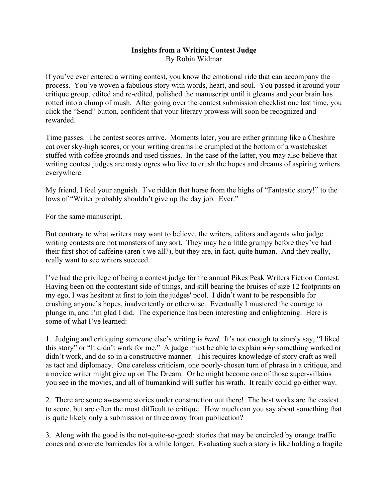## **Insights from a Writing Contest Judge** By Robin Widmar

If you've ever entered a writing contest, you know the emotional ride that can accompany the process. You've woven a fabulous story with words, heart, and soul. You passed it around your critique group, edited and re-edited, polished the manuscript until it gleams and your brain has rotted into a clump of mush. After going over the contest submission checklist one last time, you click the "Send" button, confident that your literary prowess will soon be recognized and rewarded.

Time passes. The contest scores arrive. Moments later, you are either grinning like a Cheshire cat over sky-high scores, or your writing dreams lie crumpled at the bottom of a wastebasket stuffed with coffee grounds and used tissues. In the case of the latter, you may also believe that writing contest judges are nasty ogres who live to crush the hopes and dreams of aspiring writers everywhere.

My friend, I feel your anguish. I've ridden that horse from the highs of "Fantastic story!" to the lows of "Writer probably shouldn't give up the day job. Ever."

For the same manuscript.

But contrary to what writers may want to believe, the writers, editors and agents who judge writing contests are not monsters of any sort. They may be a little grumpy before they've had their first shot of caffeine (aren't we all?), but they are, in fact, quite human. And they really, really want to see writers succeed.

I've had the privilege of being a contest judge for the annual Pikes Peak Writers Fiction Contest. Having been on the contestant side of things, and still bearing the bruises of size 12 footprints on my ego, I was hesitant at first to join the judges' pool. I didn't want to be responsible for crushing anyone's hopes, inadvertently or otherwise. Eventually I mustered the courage to plunge in, and I'm glad I did. The experience has been interesting and enlightening. Here is some of what I've learned:

1. Judging and critiquing someone else's writing is *hard*. It's not enough to simply say, "I liked this story" or "It didn't work for me." A judge must be able to explain *why* something worked or didn't work, and do so in a constructive manner. This requires knowledge of story craft as well as tact and diplomacy. One careless criticism, one poorly-chosen turn of phrase in a critique, and a novice writer might give up on The Dream. Or he might become one of those super-villains you see in the movies, and all of humankind will suffer his wrath. It really could go either way.

2. There are some awesome stories under construction out there! The best works are the easiest to score, but are often the most difficult to critique. How much can you say about something that is quite likely only a submission or three away from publication?

3. Along with the good is the not-quite-so-good: stories that may be encircled by orange traffic cones and concrete barricades for a while longer. Evaluating such a story is like holding a fragile